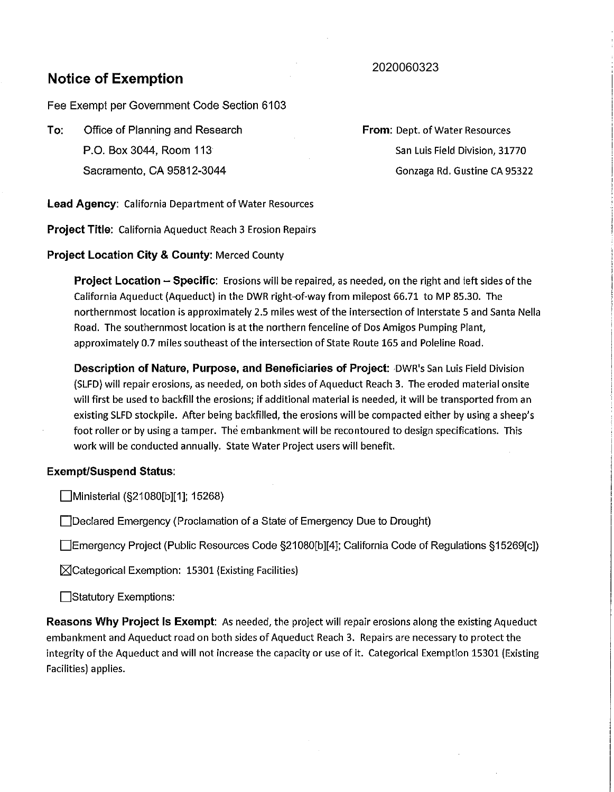## 2020060323

# **Notice of Exemption**

Fee Exempt per Government Code Section 6103

**To:** Office of Planning and Research P.O. Box 3044, Room 113 Sacramento, CA 95812-3044

**From:** Dept. of Water Resources San Luis Field Division, 31770 Gonzaga Rd. Gustine CA 95322

**Lead Agency:** California Department of Water Resources

**Project Title:** California Aqueduct Reach 3 Erosion Repairs

### **Project Location City & County:** Merced County

**Project Location - Specific:** Erosions will be repaired, as needed, on the right and left sides of the California Aqueduct (Aqueduct) in the DWR right-of-way from milepost 66.71 to MP 85.30. The northernmost location is approximately 2.5 miles west of the intersection of Interstate 5 and Santa Nella Road. The southernmost location is at the northern fenceline of Dos Amigos Pumping Plant, approximately 0.7 miles southeast of the intersection of State Route 165 and Poleline Road.

**Description of Nature, Purpose, and Beneficiaries of Project:** *DWR's San Luis Field Division* (SLFD) will repair erosions, as needed, on both sides of Aqueduct Reach 3. The eroded material onsite will first be used to backfill the erosions; if additional material is needed, it will be transported from an existing SLFD stockpile. After being backfilled, the erosions will be compacted either by using a sheep's foot roller or by using a tamper. The embankment will be recontoured to design specifications. This work will be conducted annually. State Water Project users will benefit.

#### **Exempt/Suspend Status:**

Ministerial (§21080[b][1]; 15268)

Declared Emergency (Proclamation of a State of Emergency Due to Drought)

Emergency Project (Public Resources Code §21080[b][4]; California Code of Regulations §15269[c])

 $\boxtimes$ Categorical Exemption: 15301 (Existing Facilities)

**□Statutory Exemptions:** 

**Reasons Why Project Is Exempt:** As needed, the project will repair erosions along the existing Aqueduct embankment and Aqueduct road on both sides of Aqueduct Reach 3. Repairs are necessary to protect the integrity of the Aqueduct and will not increase the capacity or use of it. Categorical Exemption 15301 (Existing Facilities) applies.